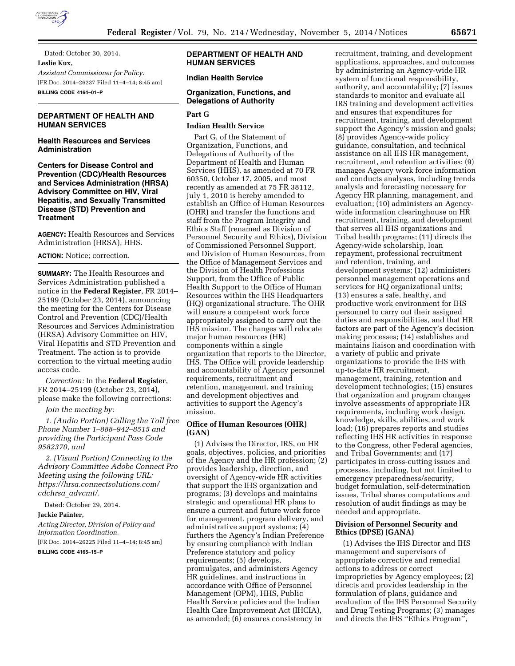

Dated: October 30, 2014. **Leslie Kux,**  *Assistant Commissioner for Policy.*  [FR Doc. 2014–26237 Filed 11–4–14; 8:45 am] **BILLING CODE 4164–01–P** 

# **DEPARTMENT OF HEALTH AND HUMAN SERVICES**

#### **Health Resources and Services Administration**

**Centers for Disease Control and Prevention (CDC)/Health Resources and Services Administration (HRSA) Advisory Committee on HIV, Viral Hepatitis, and Sexually Transmitted Disease (STD) Prevention and Treatment** 

**AGENCY:** Health Resources and Services Administration (HRSA), HHS.

# **ACTION:** Notice; correction.

**SUMMARY:** The Health Resources and Services Administration published a notice in the **Federal Register**, FR 2014– 25199 (October 23, 2014), announcing the meeting for the Centers for Disease Control and Prevention (CDC)/Health Resources and Services Administration (HRSA) Advisory Committee on HIV, Viral Hepatitis and STD Prevention and Treatment. The action is to provide correction to the virtual meeting audio access code.

*Correction:* In the **Federal Register**, FR 2014–25199 (October 23, 2014), please make the following corrections:

*Join the meeting by:* 

*1. (Audio Portion) Calling the Toll free Phone Number 1–888–942–8515 and providing the Participant Pass Code 9582370, and* 

*2. (Visual Portion) Connecting to the Advisory Committee Adobe Connect Pro Meeting using the following URL: [https://hrsa.connectsolutions.com/](https://hrsa.connectsolutions.com/cdchrsa_advcmt/) cdchrsa*\_*[advcmt/.](https://hrsa.connectsolutions.com/cdchrsa_advcmt/)* 

Dated: October 29, 2014.

#### **Jackie Painter,**

*Acting Director, Division of Policy and Information Coordination.*  [FR Doc. 2014–26225 Filed 11–4–14; 8:45 am] **BILLING CODE 4165–15–P** 

#### **DEPARTMENT OF HEALTH AND HUMAN SERVICES**

#### **Indian Health Service**

#### **Organization, Functions, and Delegations of Authority**

## **Part G**

#### **Indian Health Service**

Part G, of the Statement of Organization, Functions, and Delegations of Authority of the Department of Health and Human Services (HHS), as amended at 70 FR 60350, October 17, 2005, and most recently as amended at 75 FR 38112, July 1, 2010 is hereby amended to establish an Office of Human Resources (OHR) and transfer the functions and staff from the Program Integrity and Ethics Staff (renamed as Division of Personnel Security and Ethics), Division of Commissioned Personnel Support, and Division of Human Resources, from the Office of Management Services and the Division of Health Professions Support, from the Office of Public Health Support to the Office of Human Resources within the IHS Headquarters (HQ) organizational structure. The OHR will ensure a competent work force appropriately assigned to carry out the IHS mission. The changes will relocate major human resources (HR) components within a single organization that reports to the Director, IHS. The Office will provide leadership and accountability of Agency personnel requirements, recruitment and retention, management, and training and development objectives and activities to support the Agency's mission.

#### **Office of Human Resources (OHR) (GAN)**

(1) Advises the Director, IRS, on HR goals, objectives, policies, and priorities of the Agency and the HR profession; (2) provides leadership, direction, and oversight of Agency-wide HR activities that support the IHS organization and programs; (3) develops and maintains strategic and operational HR plans to ensure a current and future work force for management, program delivery, and administrative support systems; (4) furthers the Agency's Indian Preference by ensuring compliance with Indian Preference statutory and policy requirements; (5) develops, promulgates, and administers Agency HR guidelines, and instructions in accordance with Office of Personnel Management (OPM), HHS, Public Health Service policies and the Indian Health Care Improvement Act (IHCIA), as amended; (6) ensures consistency in

recruitment, training, and development applications, approaches, and outcomes by administering an Agency-wide HR system of functional responsibility, authority, and accountability; (7) issues standards to monitor and evaluate all IRS training and development activities and ensures that expenditures for recruitment, training, and development support the Agency's mission and goals; (8) provides Agency-wide policy guidance, consultation, and technical assistance on all IHS HR management, recruitment, and retention activities; (9) manages Agency work force information and conducts analyses, including trends analysis and forecasting necessary for Agency HR planning, management, and evaluation; (10) administers an Agencywide information clearinghouse on HR recruitment, training, and development that serves all IHS organizations and Tribal health programs; (11) directs the Agency-wide scholarship, loan repayment, professional recruitment and retention, training, and development systems; (12) administers personnel management operations and services for HQ organizational units; (13) ensures a safe, healthy, and productive work environment for IHS personnel to carry out their assigned duties and responsibilities, and that HR factors are part of the Agency's decision making processes; (14) establishes and maintains liaison and coordination with a variety of public and private organizations to provide the IHS with up-to-date HR recruitment, management, training, retention and development technologies; (15) ensures that organization and program changes involve assessments of appropriate HR requirements, including work design, knowledge, skills, abilities, and work load; (16) prepares reports and studies reflecting IHS HR activities in response to the Congress, other Federal agencies, and Tribal Governments; and (17) participates in cross-cutting issues and processes, including, but not limited to emergency preparedness/security, budget formulation, self-determination issues, Tribal shares computations and resolution of audit findings as may be needed and appropriate.

#### **Division of Personnel Security and Ethics (DPSE) (GANA)**

(1) Advises the IHS Director and IHS management and supervisors of appropriate corrective and remedial actions to address or correct improprieties by Agency employees; (2) directs and provides leadership in the formulation of plans, guidance and evaluation of the IHS Personnel Security and Drug Testing Programs; (3) manages and directs the IHS ''Ethics Program'',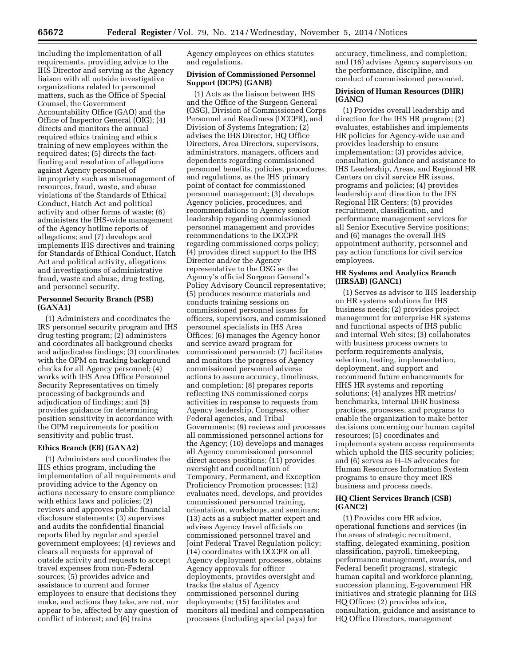including the implementation of all requirements, providing advice to the IHS Director and serving as the Agency liaison with all outside investigative organizations related to personnel matters, such as the Office of Special Counsel, the Government Accountability Office (GAO) and the Office of Inspector General (OIG); (4) directs and monitors the annual required ethics training and ethics training of new employees within the required dates; (5) directs the factfinding and resolution of allegations against Agency personnel of impropriety such as mismanagement of resources, fraud, waste, and abuse violations of the Standards of Ethical Conduct, Hatch Act and political activity and other forms of waste; (6) administers the IHS-wide management of the Agency hotline reports of allegations; and (7) develops and implements IHS directives and training for Standards of Ethical Conduct, Hatch Act and political activity, allegations and investigations of administrative fraud, waste and abuse, drug testing, and personnel security.

### **Personnel Security Branch (PSB) (GANA1)**

(1) Administers and coordinates the IRS personnel security program and IHS drug testing program; (2) administers and coordinates all background checks and adjudicates findings; (3) coordinates with the OPM on tracking background checks for all Agency personnel; (4) works with IHS Area Office Personnel Security Representatives on timely processing of backgrounds and adjudication of findings; and (5) provides guidance for determining position sensitivity in accordance with the OPM requirements for position sensitivity and public trust.

#### **Ethics Branch (EB) (GANA2)**

(1) Administers and coordinates the IHS ethics program, including the implementation of all requirements and providing advice to the Agency on actions necessary to ensure compliance with ethics laws and policies; (2) reviews and approves public financial disclosure statements; (3) supervises and audits the confidential financial reports filed by regular and special government employees; (4) reviews and clears all requests for approval of outside activity and requests to accept travel expenses from non-Federal sources; (5) provides advice and assistance to current and former employees to ensure that decisions they make, and actions they take, are not, nor appear to be, affected by any question of conflict of interest; and (6) trains

Agency employees on ethics statutes and regulations.

#### **Division of Commissioned Personnel Support (DCPS) (GANB)**

(1) Acts as the liaison between IHS and the Office of the Surgeon General (OSG), Division of Commissioned Corps Personnel and Readiness (DCCPR), and Division of Systems Integration; (2) advises the IHS Director, HQ Office Directors, Area Directors, supervisors, administrators, managers, officers and dependents regarding commissioned personnel benefits, policies, procedures, and regulations, as the IHS primary point of contact for commissioned personnel management; (3) develops Agency policies, procedures, and recommendations to Agency senior leadership regarding commissioned personnel management and provides recommendations to the DCCPR regarding commissioned corps policy; (4) provides direct support to the IHS Director and/or the Agency representative to the OSG as the Agency's official Surgeon General's Policy Advisory Council representative; (5) produces resource materials and conducts training sessions on commissioned personnel issues for officers, supervisors, and commissioned personnel specialists in IHS Area Offices; (6) manages the Agency honor and service award program for commissioned personnel; (7) facilitates and monitors the progress of Agency commissioned personnel adverse actions to assure accuracy, timeliness, and completion; (8) prepares reports reflecting INS commissioned corps activities in response to requests from Agency leadership, Congress, other Federal agencies, and Tribal Governments; (9) reviews and processes all commissioned personnel actions for the Agency; (10) develops and manages all Agency commissioned personnel direct access positions; (11) provides oversight and coordination of Temporary, Permanent, and Exception Proficiency Promotion processes; (12) evaluates need, develops, and provides commissioned personnel training, orientation, workshops, and seminars; (13) acts as a subject matter expert and advises Agency travel officials on commissioned personnel travel and Joint Federal Travel Regulation policy; (14) coordinates with DCCPR on all Agency deployment processes, obtains Agency approvals for officer deployments, provides oversight and tracks the status of Agency commissioned personnel during deployments; (15) facilitates and monitors all medical and compensation processes (including special pays) for

accuracy, timeliness, and completion; and (16) advises Agency supervisors on the performance, discipline, and conduct of commissioned personnel.

# **Division of Human Resources (DHR) (GANC)**

(1) Provides overall leadership and direction for the IHS HR program; (2) evaluates, establishes and implements HR policies for Agency-wide use and provides leadership to ensure implementation; (3) provides advice, consultation, guidance and assistance to IHS Leadership, Areas, and Regional HR Centers on civil service HR issues, programs and policies; (4) provides leadership and direction to the IFS Regional HR Centers; (5) provides recruitment, classification, and performance management services for all Senior Executive Service positions; and (6) manages the overall IHS appointment authority, personnel and pay action functions for civil service employees.

#### **HR Systems and Analytics Branch (HRSAB) (GANC1)**

(1) Serves as advisor to IHS leadership on HR systems solutions for IHS business needs; (2) provides project management for enterprise HR systems and functional aspects of IHS public and internal Web sites; (3) collaborates with business process owners to perform requirements analysis, selection, testing, implementation, deployment, and support and recommend future enhancements for HHS HR systems and reporting solutions; (4) analyzes HR metrics/ benchmarks, internal DHR business practices, processes, and programs to enable the organization to make better decisions concerning our human capital resources; (5) coordinates and implements system access requirements which uphold the IHS security policies; and (6) serves as H–IS advocates for Human Resources Information System programs to ensure they meet IRS business and process needs.

#### **HQ Client Services Branch (CSB) (GANC2)**

(1) Provides core HR advice, operational functions and services (in the areas of strategic recruitment, staffing, delegated examining, position classification, payroll, timekeeping, performance management, awards, and Federal benefit programs), strategic human capital and workforce planning, succession planning, E-government HR initiatives and strategic planning for IHS HQ Offices; (2) provides advice, consultation, guidance and assistance to HQ Office Directors, management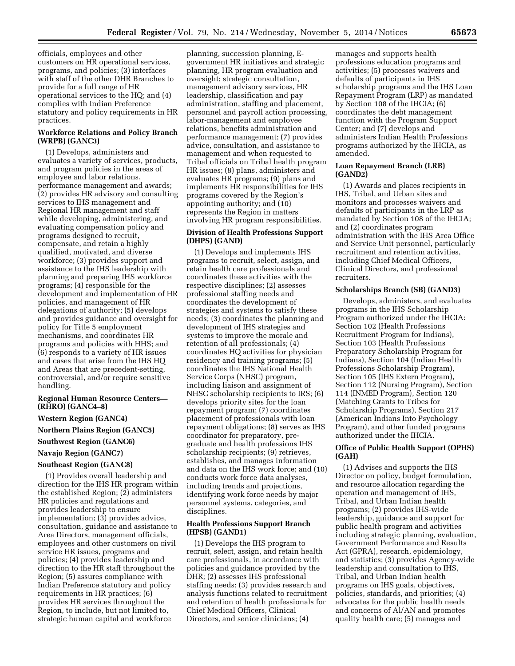officials, employees and other customers on HR operational services, programs, and policies; (3) interfaces with staff of the other DHR Branches to provide for a full range of HR operational services to the HQ; and (4) complies with Indian Preference statutory and policy requirements in HR practices.

# **Workforce Relations and Policy Branch (WRPB) (GANC3)**

(1) Develops, administers and evaluates a variety of services, products, and program policies in the areas of employee and labor relations, performance management and awards; (2) provides HR advisory and consulting services to IHS management and Regional HR management and staff while developing, administering, and evaluating compensation policy and programs designed to recruit, compensate, and retain a highly qualified, motivated, and diverse workforce; (3) provides support and assistance to the IHS leadership with planning and preparing IHS workforce programs; (4) responsible for the development and implementation of HR policies, and management of HR delegations of authority; (5) develops and provides guidance and oversight for policy for Title 5 employment mechanisms, and coordinates HR programs and policies with HHS; and (6) responds to a variety of HR issues and cases that arise from the IHS HQ and Areas that are precedent-setting, controversial, and/or require sensitive handling.

#### **Regional Human Resource Centers— (RHRO) (GANC4–8)**

#### **Western Region (GANC4)**

**Northern Plains Region (GANC5)** 

# **Southwest Region (GANC6)**

# **Navajo Region (GANC7)**

# **Southeast Region (GANC8)**

(1) Provides overall leadership and direction for the IHS HR program within the established Region; (2) administers HR policies and regulations and provides leadership to ensure implementation; (3) provides advice, consultation, guidance and assistance to Area Directors, management officials, employees and other customers on civil service HR issues, programs and policies; (4) provides leadership and direction to the HR staff throughout the Region; (5) assures compliance with Indian Preference statutory and policy requirements in HR practices; (6) provides HR services throughout the Region, to include, but not limited to, strategic human capital and workforce

planning, succession planning, Egovernment HR initiatives and strategic planning, HR program evaluation and oversight; strategic consultation, management advisory services, HR leadership, classification and pay administration, staffing and placement, personnel and payroll action processing, labor-management and employee relations, benefits administration and performance management; (7) provides advice, consultation, and assistance to management and when requested to Tribal officials on Tribal health program HR issues; (8) plans, administers and evaluates HR programs; (9) plans and implements HR responsibilities for IHS programs covered by the Region's appointing authority; and (10) represents the Region in matters involving HR program responsibilities.

#### **Division of Health Professions Support (DHPS) (GAND)**

(1) Develops and implements IHS programs to recruit, select, assign, and retain health care professionals and coordinates these activities with the respective disciplines; (2) assesses professional staffing needs and coordinates the development of strategies and systems to satisfy these needs; (3) coordinates the planning and development of IHS strategies and systems to improve the morale and retention of all professionals; (4) coordinates HQ activities for physician residency and training programs; (5) coordinates the IHS National Health Service Corps (NHSC) program, including liaison and assignment of NHSC scholarship recipients to IRS; (6) develops priority sites for the loan repayment program; (7) coordinates placement of professionals with loan repayment obligations; (8) serves as IHS coordinator for preparatory, pregraduate and health professions IHS scholarship recipients; (9) retrieves, establishes, and manages information and data on the IHS work force; and (10) conducts work force data analyses, including trends and projections, identifying work force needs by major personnel systems, categories, and disciplines.

## **Health Professions Support Branch (HPSB) (GAND1)**

(1) Develops the IHS program to recruit, select, assign, and retain health care professionals, in accordance with policies and guidance provided by the DHR; (2) assesses IHS professional staffing needs; (3) provides research and analysis functions related to recruitment and retention of health professionals for Chief Medical Officers, Clinical Directors, and senior clinicians; (4)

manages and supports health professions education programs and activities; (5) processes waivers and defaults of participants in IHS scholarship programs and the IHS Loan Repayment Program (LRP) as mandated by Section 108 of the IHCIA; (6) coordinates the debt management function with the Program Support Center; and (7) develops and administers Indian Health Professions programs authorized by the IHCIA, as amended.

#### **Loan Repayment Branch (LRB) (GAND2)**

(1) Awards and places recipients in IHS, Tribal, and Urban sites and monitors and processes waivers and defaults of participants in the LRP as mandated by Section 108 of the IHCIA; and (2) coordinates program administration with the IHS Area Office and Service Unit personnel, particularly recruitment and retention activities, including Chief Medical Officers, Clinical Directors, and professional recruiters.

#### **Scholarships Branch (SB) (GAND3)**

Develops, administers, and evaluates programs in the IHS Scholarship Program authorized under the IHCIA: Section 102 (Health Professions Recruitment Program for Indians), Section 103 (Health Professions Preparatory Scholarship Program for Indians), Section 104 (Indian Health Professions Scholarship Program), Section 105 (IHS Extern Program), Section 112 (Nursing Program), Section 114 (INMED Program), Section 120 (Matching Grants to Tribes for Scholarship Programs), Section 217 (American Indians Into Psychology Program), and other funded programs authorized under the IHCIA.

#### **Office of Public Health Support (OPHS) (GAH)**

(1) Advises and supports the IHS Director on policy, budget formulation, and resource allocation regarding the operation and management of IHS, Tribal, and Urban Indian health programs; (2) provides IHS-wide leadership, guidance and support for public health program and activities including strategic planning, evaluation, Government Performance and Results Act (GPRA), research, epidemiology, and statistics; (3) provides Agency-wide leadership and consultation to IHS, Tribal, and Urban Indian health programs on IHS goals, objectives, policies, standards, and priorities; (4) advocates for the public health needs and concerns of Al/AN and promotes quality health care; (5) manages and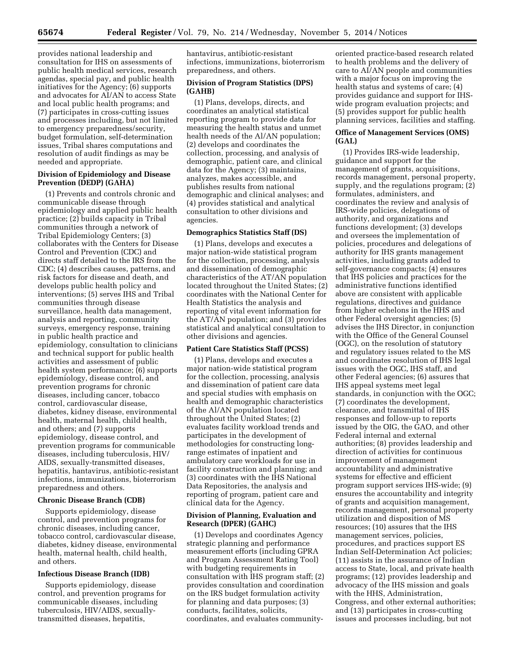provides national leadership and consultation for IHS on assessments of public health medical services, research agendas, special pay, and public health initiatives for the Agency; (6) supports and advocates for AI/AN to access State and local public health programs; and (7) participates in cross-cutting issues and processes including, but not limited to emergency preparedness/security, budget formulation, self-determination issues, Tribal shares computations and resolution of audit findings as may be needed and appropriate.

#### **Division of Epidemiology and Disease Prevention (DEDP) (GAHA)**

(1) Prevents and controls chronic and communicable disease through epidemiology and applied public health practice; (2) builds capacity in Tribal communities through a network of Tribal Epidemiology Centers; (3) collaborates with the Centers for Disease Control and Prevention (CDC) and directs staff detailed to the IRS from the CDC; (4) describes causes, patterns, and risk factors for disease and death, and develops public health policy and interventions; (5) serves IHS and Tribal communities through disease surveillance, health data management, analysis and reporting, community surveys, emergency response, training in public health practice and epidemiology, consultation to clinicians and technical support for public health activities and assessment of public health system performance; (6) supports epidemiology, disease control, and prevention programs for chronic diseases, including cancer, tobacco control, cardiovascular disease, diabetes, kidney disease, environmental health, maternal health, child health, and others; and (7) supports epidemiology, disease control, and prevention programs for communicable diseases, including tuberculosis, HIV/ AIDS, sexually-transmitted diseases, hepatitis, hantavirus, antibiotic-resistant infections, immunizations, bioterrorism preparedness and others.

# **Chronic Disease Branch (CDB)**

Supports epidemiology, disease control, and prevention programs for chronic diseases, including cancer, tobacco control, cardiovascular disease, diabetes, kidney disease, environmental health, maternal health, child health, and others.

#### **Infectious Disease Branch (IDB)**

Supports epidemiology, disease control, and prevention programs for communicable diseases, including tuberculosis, HIV/AIDS, sexuallytransmitted diseases, hepatitis,

hantavirus, antibiotic-resistant infections, immunizations, bioterrorism preparedness, and others.

## **Division of Program Statistics (DPS) (GAHB)**

(1) Plans, develops, directs, and coordinates an analytical statistical reporting program to provide data for measuring the health status and unmet health needs of the Al/AN population; (2) develops and coordinates the collection, processing, and analysis of demographic, patient care, and clinical data for the Agency; (3) maintains, analyzes, makes accessible, and publishes results from national demographic and clinical analyses; and (4) provides statistical and analytical consultation to other divisions and agencies.

#### **Demographics Statistics Staff (DS)**

(1) Plans, develops and executes a major nation-wide statistical program for the collection, processing, analysis and dissemination of demographic characteristics of the AT/AN population located throughout the United States; (2) coordinates with the National Center for Health Statistics the analysis and reporting of vital event information for the AT/AN population; and (3) provides statistical and analytical consultation to other divisions and agencies.

# **Patient Care Statistics Staff (PCSS)**

(1) Plans, develops and executes a major nation-wide statistical program for the collection, processing, analysis and dissemination of patient care data and special studies with emphasis on health and demographic characteristics of the Al/AN population located throughout the United States; (2) evaluates facility workload trends and participates in the development of methodologies for constructing longrange estimates of inpatient and ambulatory care workloads for use in facility construction and planning; and (3) coordinates with the IHS National Data Repositories, the analysis and reporting of program, patient care and clinical data for the Agency.

#### **Division of Planning, Evaluation and Research (DPER) (GAHC)**

(1) Develops and coordinates Agency strategic planning and performance measurement efforts (including GPRA and Program Assessment Rating Tool) with budgeting requirements in consultation with IHS program staff; (2) provides consultation and coordination on the IRS budget formulation activity for planning and data purposes; (3) conducts, facilitates, solicits, coordinates, and evaluates community-

oriented practice-based research related to health problems and the delivery of care to AI/AN people and communities with a major focus on improving the health status and systems of care; (4) provides guidance and support for IHSwide program evaluation projects; and (5) provides support for public health planning services, facilities and staffing.

#### **Office of Management Services (OMS) (GAL)**

(1) Provides IRS-wide leadership, guidance and support for the management of grants, acquisitions, records management, personal property, supply, and the regulations program; (2) formulates, administers, and coordinates the review and analysis of IRS-wide policies, delegations of authority, and organizations and functions development; (3) develops and oversees the implementation of policies, procedures and delegations of authority for IHS grants management activities, including grants added to self-governance compacts; (4) ensures that IHS policies and practices for the administrative functions identified above are consistent with applicable regulations, directives and guidance from higher echelons in the HHS and other Federal oversight agencies; (5) advises the IHS Director, in conjunction with the Office of the General Counsel (OGC), on the resolution of statutory and regulatory issues related to the MS and coordinates resolution of IHS legal issues with the OGC, IHS staff, and other Federal agencies; (6) assures that IHS appeal systems meet legal standards, in conjunction with the OGC; (7) coordinates the development, clearance, and transmittal of IHS responses and follow-up to reports issued by the OIG, the GAO, and other Federal internal and external authorities; (8) provides leadership and direction of activities for continuous improvement of management accountability and administrative systems for effective and efficient program support services IHS-wide; (9) ensures the accountability and integrity of grants and acquisition management, records management, personal property utilization and disposition of MS resources; (10) assures that the IHS management services, policies, procedures, and practices support ES Indian Self-Determination Act policies; (11) assists in the assurance of Indian access to State, local, and private health programs; (12) provides leadership and advocacy of the IHS mission and goals with the HHS, Administration, Congress, and other external authorities; and (13) participates in cross-cutting issues and processes including, but not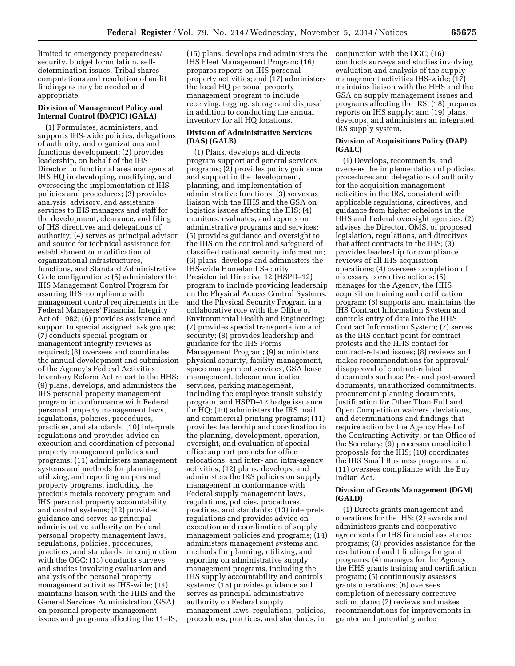limited to emergency preparedness/ security, budget formulation, selfdetermination issues, Tribal shares computations and resolution of audit findings as may be needed and appropriate.

#### **Division of Management Policy and Internal Control (DMPIC) (GALA)**

(1) Formulates, administers, and supports IHS-wide policies, delegations of authority, and organizations and functions development; (2) provides leadership, on behalf of the IHS Director, to functional area managers at IHS HQ in developing, modifying, and overseeing the implementation of IHS policies and procedures; (3) provides analysis, advisory, and assistance services to IHS managers and staff for the development, clearance, and filing of IHS directives and delegations of authority; (4) serves as principal advisor and source for technical assistance for establishment or modification of organizational infrastructures, functions, and Standard Administrative Code configurations; (5) administers the IHS Management Control Program for assuring IHS' compliance with management control requirements in the Federal Managers' Financial Integrity Act of 1982; (6) provides assistance and support to special assigned task groups; (7) conducts special program or management integrity reviews as required; (8) oversees and coordinates the annual development and submission of the Agency's Federal Activities Inventory Reform Act report to the HHS; (9) plans, develops, and administers the IHS personal property management program in conformance with Federal personal property management laws, regulations, policies, procedures, practices, and standards; (10) interprets regulations and provides advice on execution and coordination of personal property management policies and programs; (11) administers management systems and methods for planning, utilizing, and reporting on personal property programs, including the precious metals recovery program and IHS personal property accountability and control systems; (12) provides guidance and serves as principal administrative authority on Federal personal property management laws, regulations, policies, procedures, practices, and standards, in conjunction with the OGC; (13) conducts surveys and studies involving evaluation and analysis of the personal property management activities IHS-wide; (14) maintains liaison with the HHS and the General Services Administration (GSA) on personal property management issues and programs affecting the 11–IS;

(15) plans, develops and administers the IHS Fleet Management Program; (16) prepares reports on IHS personal property activities; and (17) administers the local HQ personal property management program to include receiving, tagging, storage and disposal in addition to conducting the annual inventory for all HQ locations.

## **Division of Administrative Services (DAS) (GALB)**

(1) Plans, develops and directs program support and general services programs; (2) provides policy guidance and support in the development, planning, and implementation of administrative functions; (3) serves as liaison with the HHS and the GSA on logistics issues affecting the IHS; (4) monitors, evaluates, and reports on administrative programs and services; (5) provides guidance and oversight to the IHS on the control and safeguard of classified national security information; (6) plans, develops and administers the IHS-wide Homeland Security Presidential Directive 12 (HSPD–12) program to include providing leadership on the Physical Access Control Systems, and the Physical Security Program in a collaborative role with the Office of Environmental Health and Engineering; (7) provides special transportation and security; (8) provides leadership and guidance for the IHS Forms Management Program; (9) administers physical security, facility management, space management services, GSA lease management, telecommunication services, parking management, including the employee transit subsidy program, and HSPD–12 badge issuance for HQ; (10) administers the IRS mail and commercial printing programs; (11) provides leadership and coordination in the planning, development, operation, oversight, and evaluation of special office support projects for office relocations, and inter- and intra-agency activities; (12) plans, develops, and administers the IRS policies on supply management in conformance with Federal supply management laws, regulations, policies, procedures, practices, and standards; (13) interprets regulations and provides advice on execution and coordination of supply management policies and programs; (14) administers management systems and methods for planning, utilizing, and reporting on administrative supply management programs, including the IHS supply accountability and controls systems; (15) provides guidance and serves as principal administrative authority on Federal supply management laws, regulations, policies, procedures, practices, and standards, in

conjunction with the OGC; (16) conducts surveys and studies involving evaluation and analysis of the supply management activities IHS-wide; (17) maintains liaison with the HHS and the GSA on supply management issues and programs affecting the IRS; (18) prepares reports on IHS supply; and (19) plans, develops, and administers an integrated IRS supply system.

#### **Division of Acquisitions Policy (DAP) (GALC)**

(1) Develops, recommends, and oversees the implementation of policies, procedures and delegations of authority for the acquisition management activities in the IRS, consistent with applicable regulations, directives, and guidance from higher echelons in the HHS and Federal oversight agencies; (2) advises the Director, OMS, of proposed legislation, regulations, and directives that affect contracts in the IHS; (3) provides leadership for compliance reviews of all IHS acquisition operations; (4) oversees completion of necessary corrective actions; (5) manages for the Agency, the HHS acquisition training and certification program; (6) supports and maintains the IHS Contract Information System and controls entry of data into the HHS Contract Information System; (7) serves as the IHS contact point for contract protests and the HHS contact for contract-related issues; (8) reviews and makes recommendations for approval/ disapproval of contract-related documents such as: Pre- and post-award documents, unauthorized commitments, procurement planning documents, Justification for Other Than Full and Open Competition waivers, deviations, and determinations and findings that require action by the Agency Head of the Contracting Activity, or the Office of the Secretary; (9) processes unsolicited proposals for the IHS; (10) coordinates the IHS Small Business programs; and (11) oversees compliance with the Buy Indian Act.

#### **Division of Grants Management (DGM) (GALD)**

(1) Directs grants management and operations for the IHS; (2) awards and administers grants and cooperative agreements for IHS financial assistance programs; (3) provides assistance for the resolution of audit findings for grant programs; (4) manages for the Agency, the HHS grants training and certification program; (5) continuously assesses grants operations; (6) oversees completion of necessary corrective action plans; (7) reviews and makes recommendations for improvements in grantee and potential grantee